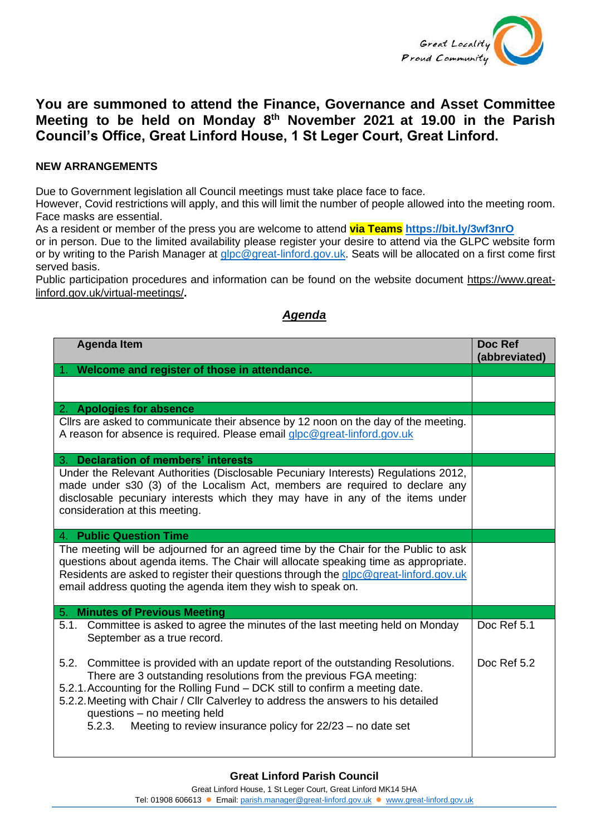

## **You are summoned to attend the Finance, Governance and Asset Committee Meeting to be held on Monday 8 th November 2021 at 19.00 in the Parish Council's Office, Great Linford House, 1 St Leger Court, Great Linford.**

## **NEW ARRANGEMENTS**

Due to Government legislation all Council meetings must take place face to face.

However, Covid restrictions will apply, and this will limit the number of people allowed into the meeting room. Face masks are essential.

As a resident or member of the press you are welcome to attend **via Teams <https://bit.ly/3wf3nrO>**

or in person. Due to the limited availability please register your desire to attend via the GLPC website form or by writing to the Parish Manager at [glpc@great-linford.gov.uk.](mailto:glpc@great-linford.gov.uk) Seats will be allocated on a first come first served basis.

Public participation procedures and information can be found on the website document [https://www.great](https://www.great-linford.gov.uk/virtual-meetings/)[linford.gov.uk/virtual-meetings/](https://www.great-linford.gov.uk/virtual-meetings/)**.** 

## *Agenda*

| <b>Agenda Item</b>                                                                                                                                                                                                                                                                                                                                                                                                                       | Doc Ref<br>(abbreviated) |
|------------------------------------------------------------------------------------------------------------------------------------------------------------------------------------------------------------------------------------------------------------------------------------------------------------------------------------------------------------------------------------------------------------------------------------------|--------------------------|
| Welcome and register of those in attendance.                                                                                                                                                                                                                                                                                                                                                                                             |                          |
|                                                                                                                                                                                                                                                                                                                                                                                                                                          |                          |
| 2. Apologies for absence                                                                                                                                                                                                                                                                                                                                                                                                                 |                          |
| Cllrs are asked to communicate their absence by 12 noon on the day of the meeting.<br>A reason for absence is required. Please email glpc@great-linford.gov.uk                                                                                                                                                                                                                                                                           |                          |
| 3. Declaration of members' interests                                                                                                                                                                                                                                                                                                                                                                                                     |                          |
| Under the Relevant Authorities (Disclosable Pecuniary Interests) Regulations 2012,<br>made under s30 (3) of the Localism Act, members are required to declare any<br>disclosable pecuniary interests which they may have in any of the items under<br>consideration at this meeting.                                                                                                                                                     |                          |
| 4. Public Question Time                                                                                                                                                                                                                                                                                                                                                                                                                  |                          |
| The meeting will be adjourned for an agreed time by the Chair for the Public to ask<br>questions about agenda items. The Chair will allocate speaking time as appropriate.<br>Residents are asked to register their questions through the glpc@great-linford.gov.uk<br>email address quoting the agenda item they wish to speak on.                                                                                                      |                          |
| 5. Minutes of Previous Meeting                                                                                                                                                                                                                                                                                                                                                                                                           |                          |
| 5.1. Committee is asked to agree the minutes of the last meeting held on Monday<br>September as a true record.                                                                                                                                                                                                                                                                                                                           | Doc Ref 5.1              |
| Committee is provided with an update report of the outstanding Resolutions.<br>5.2.<br>There are 3 outstanding resolutions from the previous FGA meeting:<br>5.2.1. Accounting for the Rolling Fund - DCK still to confirm a meeting date.<br>5.2.2. Meeting with Chair / Cllr Calverley to address the answers to his detailed<br>questions - no meeting held<br>Meeting to review insurance policy for $22/23$ – no date set<br>5.2.3. | Doc Ref 5.2              |